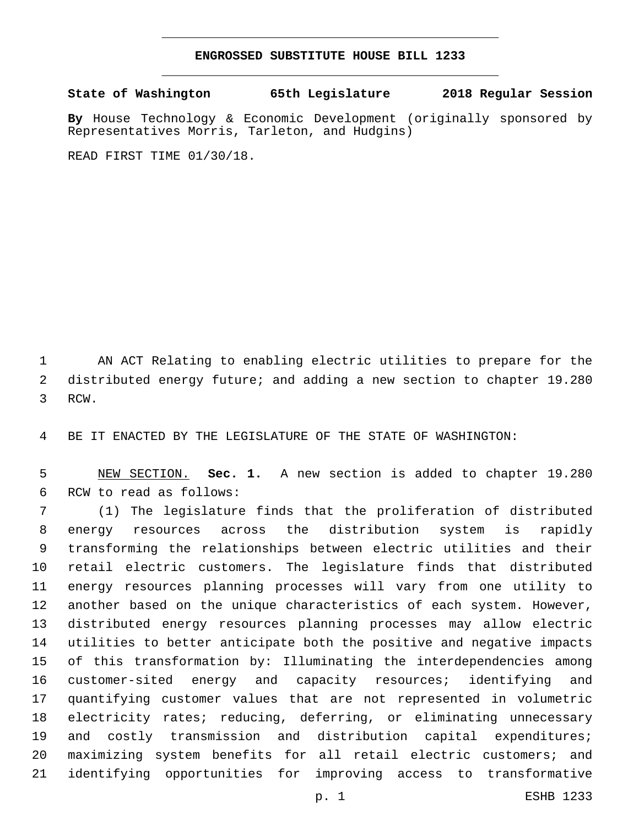## **ENGROSSED SUBSTITUTE HOUSE BILL 1233**

**State of Washington 65th Legislature 2018 Regular Session**

**By** House Technology & Economic Development (originally sponsored by Representatives Morris, Tarleton, and Hudgins)

READ FIRST TIME 01/30/18.

 AN ACT Relating to enabling electric utilities to prepare for the distributed energy future; and adding a new section to chapter 19.280 3 RCW.

BE IT ENACTED BY THE LEGISLATURE OF THE STATE OF WASHINGTON:

 NEW SECTION. **Sec. 1.** A new section is added to chapter 19.280 6 RCW to read as follows:

 (1) The legislature finds that the proliferation of distributed energy resources across the distribution system is rapidly transforming the relationships between electric utilities and their retail electric customers. The legislature finds that distributed energy resources planning processes will vary from one utility to another based on the unique characteristics of each system. However, distributed energy resources planning processes may allow electric utilities to better anticipate both the positive and negative impacts of this transformation by: Illuminating the interdependencies among customer-sited energy and capacity resources; identifying and quantifying customer values that are not represented in volumetric electricity rates; reducing, deferring, or eliminating unnecessary and costly transmission and distribution capital expenditures; maximizing system benefits for all retail electric customers; and identifying opportunities for improving access to transformative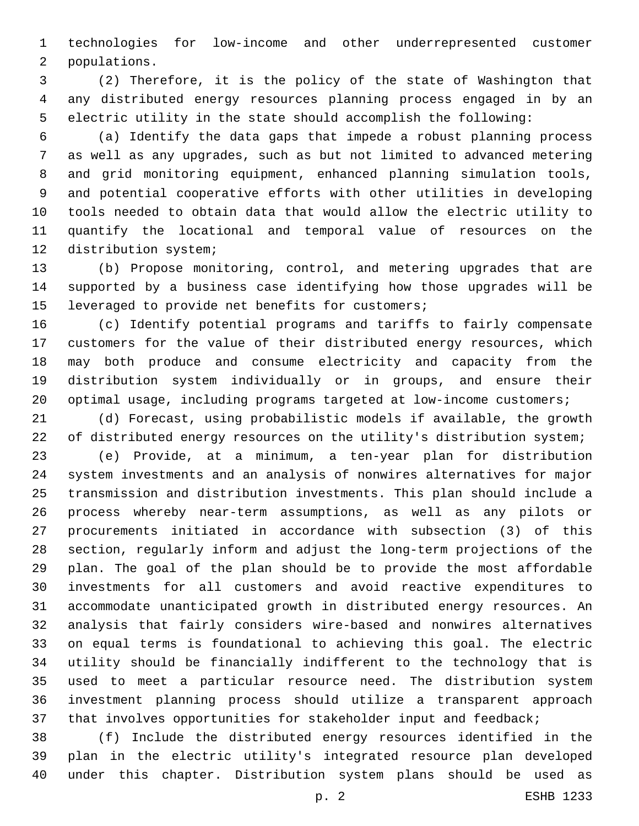technologies for low-income and other underrepresented customer 2 populations.

 (2) Therefore, it is the policy of the state of Washington that any distributed energy resources planning process engaged in by an electric utility in the state should accomplish the following:

 (a) Identify the data gaps that impede a robust planning process as well as any upgrades, such as but not limited to advanced metering and grid monitoring equipment, enhanced planning simulation tools, and potential cooperative efforts with other utilities in developing tools needed to obtain data that would allow the electric utility to quantify the locational and temporal value of resources on the 12 distribution system;

 (b) Propose monitoring, control, and metering upgrades that are supported by a business case identifying how those upgrades will be 15 leveraged to provide net benefits for customers;

 (c) Identify potential programs and tariffs to fairly compensate customers for the value of their distributed energy resources, which may both produce and consume electricity and capacity from the distribution system individually or in groups, and ensure their optimal usage, including programs targeted at low-income customers;

 (d) Forecast, using probabilistic models if available, the growth 22 of distributed energy resources on the utility's distribution system;

 (e) Provide, at a minimum, a ten-year plan for distribution system investments and an analysis of nonwires alternatives for major transmission and distribution investments. This plan should include a process whereby near-term assumptions, as well as any pilots or procurements initiated in accordance with subsection (3) of this section, regularly inform and adjust the long-term projections of the plan. The goal of the plan should be to provide the most affordable investments for all customers and avoid reactive expenditures to accommodate unanticipated growth in distributed energy resources. An analysis that fairly considers wire-based and nonwires alternatives on equal terms is foundational to achieving this goal. The electric utility should be financially indifferent to the technology that is used to meet a particular resource need. The distribution system investment planning process should utilize a transparent approach 37 that involves opportunities for stakeholder input and feedback;

 (f) Include the distributed energy resources identified in the plan in the electric utility's integrated resource plan developed under this chapter. Distribution system plans should be used as